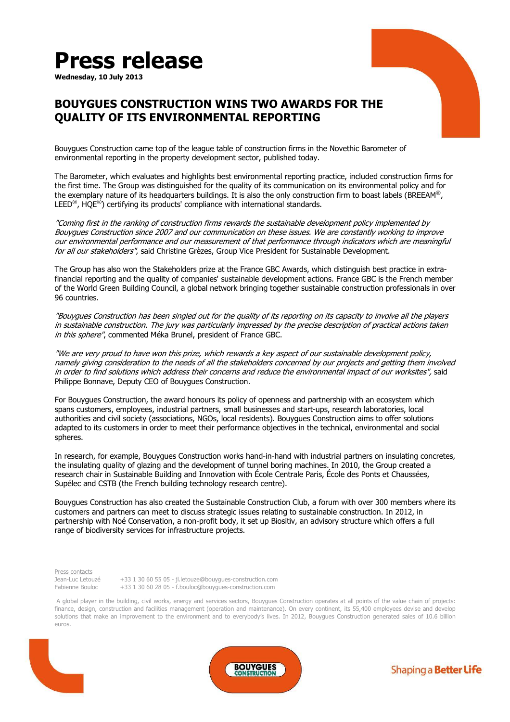## **Press release**

**Wednesday, 10 July 2013** 



## **BOUYGUES CONSTRUCTION WINS TWO AWARDS FOR THE QUALITY OF ITS ENVIRONMENTAL REPORTING**

Bouygues Construction came top of the league table of construction firms in the Novethic Barometer of environmental reporting in the property development sector, published today.

The Barometer, which evaluates and highlights best environmental reporting practice, included construction firms for the first time. The Group was distinguished for the quality of its communication on its environmental policy and for the exemplary nature of its headquarters buildings. It is also the only construction firm to boast labels (BREEAM®,  $LEED^{\circledast}$ , HOE $^{\circledast}$ ) certifying its products' compliance with international standards.

"Coming first in the ranking of construction firms rewards the sustainable development policy implemented by Bouygues Construction since 2007 and our communication on these issues. We are constantly working to improve our environmental performance and our measurement of that performance through indicators which are meaningful for all our stakeholders", said Christine Grèzes, Group Vice President for Sustainable Development.

The Group has also won the Stakeholders prize at the France GBC Awards, which distinguish best practice in extrafinancial reporting and the quality of companies' sustainable development actions. France GBC is the French member of the World Green Building Council, a global network bringing together sustainable construction professionals in over 96 countries.

"Bouygues Construction has been singled out for the quality of its reporting on its capacity to involve all the players in sustainable construction. The jury was particularly impressed by the precise description of practical actions taken in this sphere", commented Méka Brunel, president of France GBC.

"We are very proud to have won this prize, which rewards a key aspect of our sustainable development policy, namely giving consideration to the needs of all the stakeholders concerned by our projects and getting them involved in order to find solutions which address their concerns and reduce the environmental impact of our worksites", said Philippe Bonnave, Deputy CEO of Bouygues Construction.

For Bouygues Construction, the award honours its policy of openness and partnership with an ecosystem which spans customers, employees, industrial partners, small businesses and start-ups, research laboratories, local authorities and civil society (associations, NGOs, local residents). Bouygues Construction aims to offer solutions adapted to its customers in order to meet their performance objectives in the technical, environmental and social spheres.

In research, for example, Bouygues Construction works hand-in-hand with industrial partners on insulating concretes, the insulating quality of glazing and the development of tunnel boring machines. In 2010, the Group created a research chair in Sustainable Building and Innovation with École Centrale Paris, École des Ponts et Chaussées, Supélec and CSTB (the French building technology research centre).

Bouygues Construction has also created the Sustainable Construction Club, a forum with over 300 members where its customers and partners can meet to discuss strategic issues relating to sustainable construction. In 2012, in partnership with Noé Conservation, a non-profit body, it set up Biositiv, an advisory structure which offers a full range of biodiversity services for infrastructure projects.

Press contacts

Jean-Luc Letouzé +33 1 30 60 55 05 - jl.letouze@bouygues-construction.com Fabienne Bouloc +33 1 30 60 28 05 - f.bouloc@bouygues-construction.com

 A global player in the building, civil works, energy and services sectors, Bouygues Construction operates at all points of the value chain of projects: finance, design, construction and facilities management (operation and maintenance). On every continent, its 55,400 employees devise and develop solutions that make an improvement to the environment and to everybody's lives. In 2012, Bouygues Construction generated sales of 10.6 billion euros.